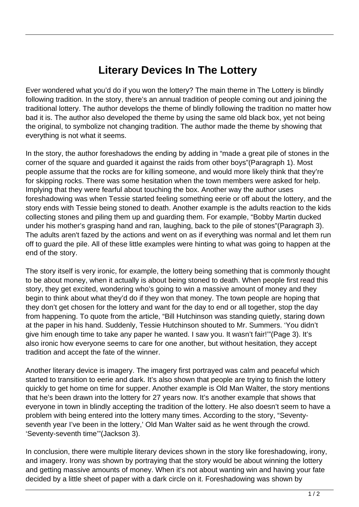## **Literary Devices In The Lottery**

Ever wondered what you'd do if you won the lottery? The main theme in The Lottery is blindly following tradition. In the story, there's an annual tradition of people coming out and joining the traditional lottery. The author develops the theme of blindly following the tradition no matter how bad it is. The author also developed the theme by using the same old black box, yet not being the original, to symbolize not changing tradition. The author made the theme by showing that everything is not what it seems.

In the story, the author foreshadows the ending by adding in "made a great pile of stones in the corner of the square and guarded it against the raids from other boys"(Paragraph 1). Most people assume that the rocks are for killing someone, and would more likely think that they're for skipping rocks. There was some hesitation when the town members were asked for help. Implying that they were fearful about touching the box. Another way the author uses foreshadowing was when Tessie started feeling something eerie or off about the lottery, and the story ends with Tessie being stoned to death. Another example is the adults reaction to the kids collecting stones and piling them up and guarding them. For example, "Bobby Martin ducked under his mother's grasping hand and ran, laughing, back to the pile of stones"(Paragraph 3). The adults aren't fazed by the actions and went on as if everything was normal and let them run off to guard the pile. All of these little examples were hinting to what was going to happen at the end of the story.

The story itself is very ironic, for example, the lottery being something that is commonly thought to be about money, when it actually is about being stoned to death. When people first read this story, they get excited, wondering who's going to win a massive amount of money and they begin to think about what they'd do if they won that money. The town people are hoping that they don't get chosen for the lottery and want for the day to end or all together, stop the day from happening. To quote from the article, "Bill Hutchinson was standing quietly, staring down at the paper in his hand. Suddenly, Tessie Hutchinson shouted to Mr. Summers. 'You didn't give him enough time to take any paper he wanted. I saw you. It wasn't fair!'"(Page 3). It's also ironic how everyone seems to care for one another, but without hesitation, they accept tradition and accept the fate of the winner.

Another literary device is imagery. The imagery first portrayed was calm and peaceful which started to transition to eerie and dark. It's also shown that people are trying to finish the lottery quickly to get home on time for supper. Another example is Old Man Walter, the story mentions that he's been drawn into the lottery for 27 years now. It's another example that shows that everyone in town in blindly accepting the tradition of the lottery. He also doesn't seem to have a problem with being entered into the lottery many times. According to the story, "Seventyseventh year I've been in the lottery,' Old Man Walter said as he went through the crowd. 'Seventy-seventh time'"(Jackson 3).

In conclusion, there were multiple literary devices shown in the story like foreshadowing, irony, and imagery. Irony was shown by portraying that the story would be about winning the lottery and getting massive amounts of money. When it's not about wanting win and having your fate decided by a little sheet of paper with a dark circle on it. Foreshadowing was shown by